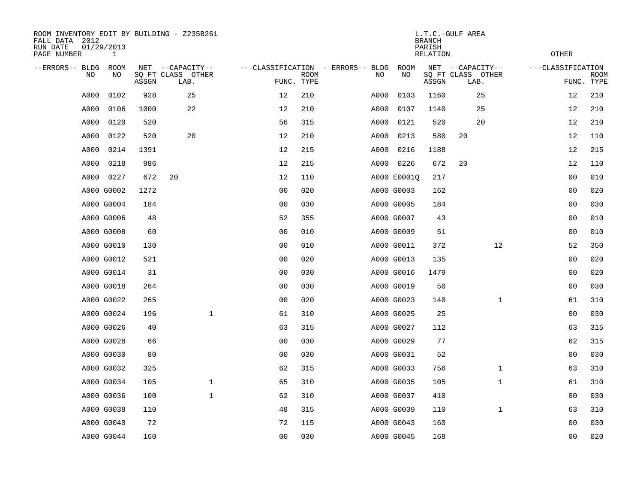| ROOM INVENTORY EDIT BY BUILDING - Z235B261<br>FALL DATA 2012<br>RUN DATE<br>PAGE NUMBER | 01/29/2013<br>$\mathbf{1}$ |       |                           |                |                           |                                   |             | <b>BRANCH</b><br>PARISH<br><b>RELATION</b> | L.T.C.-GULF AREA          | <b>OTHER</b>      |                           |
|-----------------------------------------------------------------------------------------|----------------------------|-------|---------------------------|----------------|---------------------------|-----------------------------------|-------------|--------------------------------------------|---------------------------|-------------------|---------------------------|
| --ERRORS-- BLDG                                                                         | ROOM                       |       | NET --CAPACITY--          |                |                           | ---CLASSIFICATION --ERRORS-- BLDG | ROOM        |                                            | NET --CAPACITY--          | ---CLASSIFICATION |                           |
| NO.                                                                                     | NO                         | ASSGN | SQ FT CLASS OTHER<br>LAB. |                | <b>ROOM</b><br>FUNC. TYPE | NO                                | NO          | ASSGN                                      | SQ FT CLASS OTHER<br>LAB. |                   | <b>ROOM</b><br>FUNC. TYPE |
| A000                                                                                    | 0102                       | 928   | 25                        | 12             | 210                       | A000                              | 0103        | 1160                                       | 25                        | 12                | 210                       |
| A000                                                                                    | 0106                       | 1000  | 22                        | 12             | 210                       | A000                              | 0107        | 1140                                       | 25                        | 12                | 210                       |
| A000                                                                                    | 0120                       | 520   |                           | 56             | 315                       | A000                              | 0121        | 520                                        | 20                        | 12                | 210                       |
| A000                                                                                    | 0122                       | 520   | 20                        | 12             | 210                       | A000                              | 0213        | 580                                        | 20                        | 12                | 110                       |
| A000                                                                                    | 0214                       | 1391  |                           | 12             | 215                       | A000                              | 0216        | 1188                                       |                           | 12                | 215                       |
| A000                                                                                    | 0218                       | 986   |                           | 12             | 215                       |                                   | A000 0226   | 672                                        | 20                        | 12                | 110                       |
| A000                                                                                    | 0227                       | 672   | 20                        | 12             | 110                       |                                   | A000 E00010 | 217                                        |                           | 0 <sub>0</sub>    | 010                       |
|                                                                                         | A000 G0002                 | 1272  |                           | 0 <sub>0</sub> | 020                       |                                   | A000 G0003  | 162                                        |                           | 0 <sub>0</sub>    | 020                       |
|                                                                                         | A000 G0004                 | 184   |                           | 0 <sub>0</sub> | 030                       |                                   | A000 G0005  | 184                                        |                           | 0 <sub>0</sub>    | 030                       |
|                                                                                         | A000 G0006                 | 48    |                           | 52             | 355                       |                                   | A000 G0007  | 43                                         |                           | 0 <sub>0</sub>    | 010                       |
|                                                                                         | A000 G0008                 | 60    |                           | 0 <sub>0</sub> | 010                       |                                   | A000 G0009  | 51                                         |                           | 00                | 010                       |
|                                                                                         | A000 G0010                 | 130   |                           | 0 <sub>0</sub> | 010                       |                                   | A000 G0011  | 372                                        | 12                        | 52                | 350                       |
|                                                                                         | A000 G0012                 | 521   |                           | 0 <sub>0</sub> | 020                       |                                   | A000 G0013  | 135                                        |                           | 00                | 020                       |
|                                                                                         | A000 G0014                 | 31    |                           | 0 <sub>0</sub> | 030                       |                                   | A000 G0016  | 1479                                       |                           | 00                | 020                       |
|                                                                                         | A000 G0018                 | 264   |                           | 0 <sub>0</sub> | 030                       |                                   | A000 G0019  | 50                                         |                           | 00                | 030                       |
|                                                                                         | A000 G0022                 | 265   |                           | 00             | 020                       |                                   | A000 G0023  | 140                                        | $\mathbf{1}$              | 61                | 310                       |
|                                                                                         | A000 G0024                 | 196   | $\mathbf 1$               | 61             | 310                       |                                   | A000 G0025  | 25                                         |                           | 0 <sub>0</sub>    | 030                       |
|                                                                                         | A000 G0026                 | 40    |                           | 63             | 315                       |                                   | A000 G0027  | 112                                        |                           | 63                | 315                       |
|                                                                                         | A000 G0028                 | 66    |                           | 0 <sub>0</sub> | 030                       |                                   | A000 G0029  | 77                                         |                           | 62                | 315                       |
|                                                                                         | A000 G0030                 | 80    |                           | 0 <sub>0</sub> | 030                       |                                   | A000 G0031  | 52                                         |                           | 00                | 030                       |
|                                                                                         | A000 G0032                 | 325   |                           | 62             | 315                       |                                   | A000 G0033  | 756                                        | $\mathbf{1}$              | 63                | 310                       |
|                                                                                         | A000 G0034                 | 105   | $\mathbf{1}$              | 65             | 310                       |                                   | A000 G0035  | 105                                        | $\mathbf{1}$              | 61                | 310                       |
|                                                                                         | A000 G0036                 | 100   | $\mathbf{1}$              | 62             | 310                       |                                   | A000 G0037  | 410                                        |                           | 0 <sub>0</sub>    | 030                       |
|                                                                                         | A000 G0038                 | 110   |                           | 48             | 315                       |                                   | A000 G0039  | 110                                        | $\mathbf{1}$              | 63                | 310                       |
|                                                                                         | A000 G0040                 | 72    |                           | 72             | 115                       |                                   | A000 G0043  | 160                                        |                           | 0 <sub>0</sub>    | 030                       |
|                                                                                         | A000 G0044                 | 160   |                           | 00             | 030                       |                                   | A000 G0045  | 168                                        |                           | 00                | 020                       |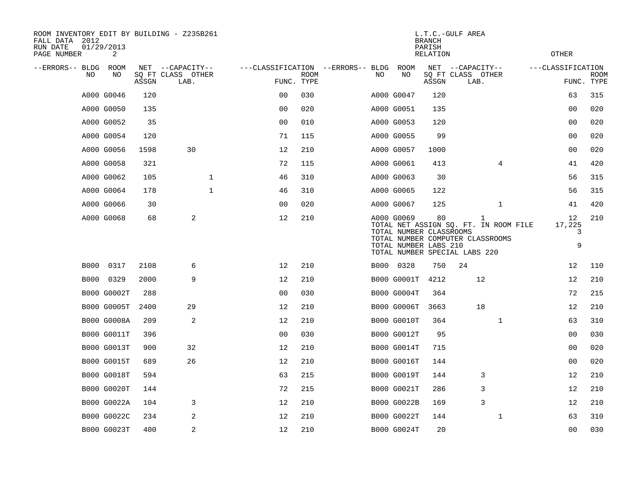| ROOM INVENTORY EDIT BY BUILDING - Z235B261<br>FALL DATA 2012<br>RUN DATE<br>PAGE NUMBER | 01/29/2013<br>2    |       |                           |                   |                           |                                   |     |                                                                                                                                     | <b>BRANCH</b><br>PARISH<br><b>RELATION</b> | L.T.C.-GULF AREA          |                |                                       | <b>OTHER</b>           |                           |
|-----------------------------------------------------------------------------------------|--------------------|-------|---------------------------|-------------------|---------------------------|-----------------------------------|-----|-------------------------------------------------------------------------------------------------------------------------------------|--------------------------------------------|---------------------------|----------------|---------------------------------------|------------------------|---------------------------|
| --ERRORS-- BLDG ROOM                                                                    |                    |       | NET --CAPACITY--          |                   |                           | ---CLASSIFICATION --ERRORS-- BLDG |     | ROOM                                                                                                                                |                                            | NET --CAPACITY--          |                |                                       | ---CLASSIFICATION      |                           |
| NO.                                                                                     | NO                 | ASSGN | SQ FT CLASS OTHER<br>LAB. |                   | <b>ROOM</b><br>FUNC. TYPE |                                   | NO. | NO                                                                                                                                  | ASSGN                                      | SQ FT CLASS OTHER<br>LAB. |                |                                       |                        | <b>ROOM</b><br>FUNC. TYPE |
|                                                                                         | A000 G0046         | 120   |                           | 0 <sub>0</sub>    | 030                       |                                   |     | A000 G0047                                                                                                                          | 120                                        |                           |                |                                       | 63                     | 315                       |
|                                                                                         | A000 G0050         | 135   |                           | 0 <sub>0</sub>    | 020                       |                                   |     | A000 G0051                                                                                                                          | 135                                        |                           |                |                                       | 00                     | 020                       |
|                                                                                         | A000 G0052         | 35    |                           | 0 <sub>0</sub>    | 010                       |                                   |     | A000 G0053                                                                                                                          | 120                                        |                           |                |                                       | 00                     | 020                       |
|                                                                                         | A000 G0054         | 120   |                           | 71                | 115                       |                                   |     | A000 G0055                                                                                                                          | 99                                         |                           |                |                                       | 0 <sub>0</sub>         | 020                       |
|                                                                                         | A000 G0056         | 1598  | 30                        | 12                | 210                       |                                   |     | A000 G0057                                                                                                                          | 1000                                       |                           |                |                                       | 0 <sub>0</sub>         | 020                       |
|                                                                                         | A000 G0058         | 321   |                           | 72                | 115                       |                                   |     | A000 G0061                                                                                                                          | 413                                        |                           | $\overline{4}$ |                                       | 41                     | 420                       |
|                                                                                         | A000 G0062         | 105   |                           | 1<br>46           | 310                       |                                   |     | A000 G0063                                                                                                                          | 30                                         |                           |                |                                       | 56                     | 315                       |
|                                                                                         | A000 G0064         | 178   |                           | $\mathbf 1$<br>46 | 310                       |                                   |     | A000 G0065                                                                                                                          | 122                                        |                           |                |                                       | 56                     | 315                       |
|                                                                                         | A000 G0066         | 30    |                           | 00                | 020                       |                                   |     | A000 G0067                                                                                                                          | 125                                        |                           | $\mathbf{1}$   |                                       | 41                     | 420                       |
|                                                                                         | A000 G0068         | 68    | 2                         | 12                | 210                       |                                   |     | A000 G0069<br>TOTAL NUMBER CLASSROOMS<br>TOTAL NUMBER COMPUTER CLASSROOMS<br>TOTAL NUMBER LABS 210<br>TOTAL NUMBER SPECIAL LABS 220 | 80                                         |                           | $\mathbf 1$    | TOTAL NET ASSIGN SO. FT. IN ROOM FILE | 12<br>17,225<br>3<br>9 | 210                       |
|                                                                                         | B000 0317          | 2108  | 6                         | 12                | 210                       |                                   |     | B000 0328                                                                                                                           | 750                                        | 24                        |                |                                       | 12                     | 110                       |
|                                                                                         | B000 0329          | 2000  | 9                         | 12                | 210                       |                                   |     | <b>B000 G0001T</b>                                                                                                                  | 4212                                       |                           | 12             |                                       | 12                     | 210                       |
|                                                                                         | B000 G0002T        | 288   |                           | 0 <sub>0</sub>    | 030                       |                                   |     | <b>B000 G0004T</b>                                                                                                                  | 364                                        |                           |                |                                       | 72                     | 215                       |
|                                                                                         | <b>B000 G0005T</b> | 2400  | 29                        | 12                | 210                       |                                   |     | <b>B000 G0006T</b>                                                                                                                  | 3663                                       |                           | 18             |                                       | 12                     | 210                       |
|                                                                                         | B000 G0008A        | 209   | 2                         | 12                | 210                       |                                   |     | <b>B000 G0010T</b>                                                                                                                  | 364                                        |                           | $\mathbf{1}$   |                                       | 63                     | 310                       |
|                                                                                         | <b>B000 G0011T</b> | 396   |                           | 0 <sub>0</sub>    | 030                       |                                   |     | <b>B000 G0012T</b>                                                                                                                  | 95                                         |                           |                |                                       | 00                     | 030                       |
|                                                                                         | B000 G0013T        | 900   | 32                        | 12                | 210                       |                                   |     | <b>B000 G0014T</b>                                                                                                                  | 715                                        |                           |                |                                       | 00                     | 020                       |
|                                                                                         | <b>B000 G0015T</b> | 689   | 26                        | 12                | 210                       |                                   |     | <b>B000 G0016T</b>                                                                                                                  | 144                                        |                           |                |                                       | 00                     | 020                       |
|                                                                                         | B000 G0018T        | 594   |                           | 63                | 215                       |                                   |     | B000 G0019T                                                                                                                         | 144                                        |                           | 3              |                                       | 12                     | 210                       |
|                                                                                         | <b>B000 G0020T</b> | 144   |                           | 72                | 215                       |                                   |     | <b>B000 G0021T</b>                                                                                                                  | 286                                        |                           | 3              |                                       | 12                     | 210                       |
|                                                                                         | B000 G0022A        | 104   | 3                         | 12                | 210                       |                                   |     | B000 G0022B                                                                                                                         | 169                                        |                           | 3              |                                       | 12                     | 210                       |
|                                                                                         | B000 G0022C        | 234   | 2                         | 12                | 210                       |                                   |     | B000 G0022T                                                                                                                         | 144                                        |                           | 1              |                                       | 63                     | 310                       |
|                                                                                         | B000 G0023T        | 400   | 2                         | 12                | 210                       |                                   |     | B000 G0024T                                                                                                                         | 20                                         |                           |                |                                       | 0 <sub>0</sub>         | 030                       |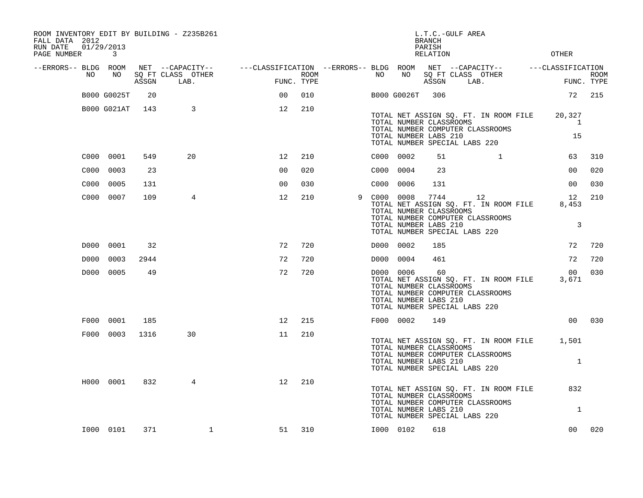| ROOM INVENTORY EDIT BY BUILDING - Z235B261<br>FALL DATA 2012<br>RUN DATE<br>PAGE NUMBER | 01/29/2013<br>3 |       |                           |                                                                                                |                    |   |           |             | L.T.C.-GULF AREA<br><b>BRANCH</b><br>PARISH<br>RELATION                                   |      |                                                                                 | <b>OTHER</b>                                                |                           |
|-----------------------------------------------------------------------------------------|-----------------|-------|---------------------------|------------------------------------------------------------------------------------------------|--------------------|---|-----------|-------------|-------------------------------------------------------------------------------------------|------|---------------------------------------------------------------------------------|-------------------------------------------------------------|---------------------------|
| --ERRORS-- BLDG ROOM<br>NO                                                              | NO              | ASSGN | SQ FT CLASS OTHER<br>LAB. | NET --CAPACITY-- - ---CLASSIFICATION --ERRORS-- BLDG ROOM NET --CAPACITY-- - ---CLASSIFICATION | ROOM<br>FUNC. TYPE |   | NO        | NO          | ASSGN                                                                                     | LAB. | SQ FT CLASS OTHER                                                               |                                                             | <b>ROOM</b><br>FUNC. TYPE |
|                                                                                         | B000 G0025T     | 20    |                           | 00                                                                                             | 010                |   |           | B000 G0026T | 306                                                                                       |      |                                                                                 |                                                             | 72 215                    |
|                                                                                         | B000 G021AT     | 143   | 3                         | 12                                                                                             | 210                |   |           |             | TOTAL NUMBER CLASSROOMS<br>TOTAL NUMBER LABS 210<br>TOTAL NUMBER SPECIAL LABS 220         |      | TOTAL NET ASSIGN SQ. FT. IN ROOM FILE<br>TOTAL NUMBER COMPUTER CLASSROOMS       | 20,327<br>$\mathbf{1}$<br>15                                |                           |
|                                                                                         | C000 0001       | 549   | 20                        | 12                                                                                             | 210                |   | C000 0002 |             | 51                                                                                        |      | $\mathbf{1}$                                                                    | 63                                                          | 310                       |
| C000                                                                                    | 0003            | 23    |                           | 0 <sub>0</sub>                                                                                 | 020                |   | C000 0004 |             | 23                                                                                        |      |                                                                                 | 0 <sub>0</sub>                                              | 020                       |
| C000                                                                                    | 0005            | 131   |                           | 00                                                                                             | 030                |   | C000 0006 |             | 131                                                                                       |      |                                                                                 | 00                                                          | 030                       |
|                                                                                         | C000 0007       | 109   | 4                         | 12                                                                                             | 210                | 9 | C000 0008 |             | 7744<br>TOTAL NUMBER CLASSROOMS<br>TOTAL NUMBER LABS 210<br>TOTAL NUMBER SPECIAL LABS 220 |      | 12<br>TOTAL NET ASSIGN SQ. FT. IN ROOM FILE<br>TOTAL NUMBER COMPUTER CLASSROOMS | 12<br>8,453<br>3                                            | 210                       |
| D000                                                                                    | 0001            | 32    |                           | 72                                                                                             | 720                |   | D000 0002 |             | 185                                                                                       |      |                                                                                 | 72                                                          | 720                       |
| D000                                                                                    | 0003            | 2944  |                           | 72                                                                                             | 720                |   | D000      | 0004        | 461                                                                                       |      |                                                                                 | 72                                                          | 720                       |
|                                                                                         | D000 0005       | 49    |                           | 72                                                                                             | 720                |   |           | D000 0006   | 60<br>TOTAL NUMBER CLASSROOMS<br>TOTAL NUMBER LABS 210<br>TOTAL NUMBER SPECIAL LABS 220   |      | TOTAL NET ASSIGN SQ. FT. IN ROOM FILE<br>TOTAL NUMBER COMPUTER CLASSROOMS       | 00 <sub>o</sub><br>3,671                                    | 030                       |
| F000                                                                                    | 0001            | 185   |                           | 12                                                                                             | 215                |   |           | F000 0002   | 149                                                                                       |      |                                                                                 | 0 <sub>0</sub>                                              | 030                       |
|                                                                                         | F000 0003       | 1316  | 30                        | 11                                                                                             | 210                |   |           |             | TOTAL NUMBER CLASSROOMS<br>TOTAL NUMBER LABS 210<br>TOTAL NUMBER SPECIAL LABS 220         |      | TOTAL NUMBER COMPUTER CLASSROOMS                                                | TOTAL NET ASSIGN SQ. FT. IN ROOM FILE 1,501<br>$\mathbf{1}$ |                           |
|                                                                                         | H000 0001       | 832   | 4                         | 12                                                                                             | 210                |   |           |             | TOTAL NUMBER CLASSROOMS<br>TOTAL NUMBER LABS 210<br>TOTAL NUMBER SPECIAL LABS 220         |      | TOTAL NET ASSIGN SQ. FT. IN ROOM FILE<br>TOTAL NUMBER COMPUTER CLASSROOMS       | 832<br>1                                                    |                           |
|                                                                                         | I000 0101       | 371   | $\mathbf 1$               | 51                                                                                             | 310                |   | I000 0102 |             | 618                                                                                       |      |                                                                                 | 00 <sub>o</sub>                                             | 020                       |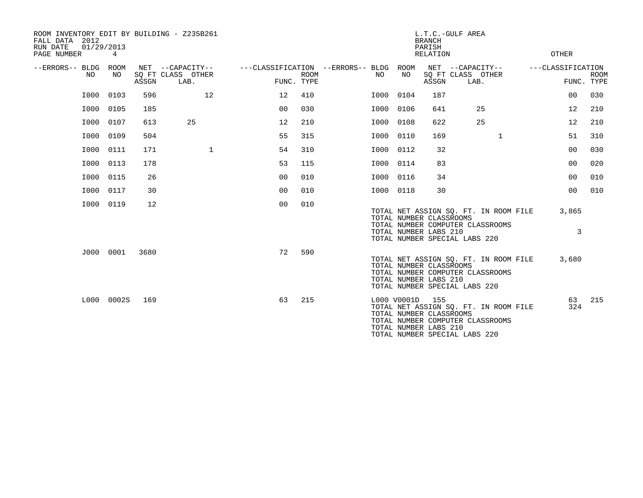| ROOM INVENTORY EDIT BY BUILDING - Z235B261<br>FALL DATA 2012<br>RUN DATE<br>01/29/2013<br>PAGE NUMBER | 4          |       |                                               |                                                      |             |           |             | <b>BRANCH</b><br>PARISH<br>RELATION                     | L.T.C.-GULF AREA                                                                                           | OTHER             |                |                           |
|-------------------------------------------------------------------------------------------------------|------------|-------|-----------------------------------------------|------------------------------------------------------|-------------|-----------|-------------|---------------------------------------------------------|------------------------------------------------------------------------------------------------------------|-------------------|----------------|---------------------------|
| --ERRORS-- BLDG ROOM<br>NO.                                                                           | NO         | ASSGN | NET --CAPACITY--<br>SQ FT CLASS OTHER<br>LAB. | ---CLASSIFICATION --ERRORS-- BLDG ROOM<br>FUNC. TYPE | <b>ROOM</b> | NO.       | NO          | ASSGN                                                   | NET --CAPACITY--<br>SQ FT CLASS OTHER<br>LAB.                                                              | ---CLASSIFICATION |                | <b>ROOM</b><br>FUNC. TYPE |
| I000                                                                                                  | 0103       | 596   | 12                                            | 12                                                   | 410         | I000      | 0104        | 187                                                     |                                                                                                            |                   | 0 <sub>0</sub> | 030                       |
| I000                                                                                                  | 0105       | 185   |                                               | 0 <sup>0</sup>                                       | 030         | I000 0106 |             | 641                                                     | 25                                                                                                         |                   | 12             | 210                       |
| I000                                                                                                  | 0107       | 613   | 25                                            | 12                                                   | 210         | I000      | 0108        | 622                                                     | 25                                                                                                         |                   | 12             | 210                       |
| I000                                                                                                  | 0109       | 504   |                                               | 55                                                   | 315         | I000      | 0110        | 169                                                     | $\mathbf{1}$                                                                                               |                   | 51             | 310                       |
| I000                                                                                                  | 0111       | 171   | $\mathbf{1}$                                  | 54                                                   | 310         | I000 0112 |             | 32                                                      |                                                                                                            |                   | 0 <sub>0</sub> | 030                       |
| I000                                                                                                  | 0113       | 178   |                                               | 53                                                   | 115         | I000 0114 |             | 83                                                      |                                                                                                            |                   | 0 <sub>0</sub> | 020                       |
| I000                                                                                                  | 0115       | 26    |                                               | 0 <sub>0</sub>                                       | 010         | I000      | 0116        | 34                                                      |                                                                                                            |                   | 0 <sub>0</sub> | 010                       |
| I000                                                                                                  | 0117       | 30    |                                               | 0 <sub>0</sub>                                       | 010         | I000 0118 |             | 30                                                      |                                                                                                            |                   | 0 <sub>0</sub> | 010                       |
| I000                                                                                                  | 0119       | 12    |                                               | 0 <sub>0</sub>                                       | 010         |           |             | TOTAL NUMBER CLASSROOMS<br>TOTAL NUMBER LABS 210        | TOTAL NET ASSIGN SQ. FT. IN ROOM FILE<br>TOTAL NUMBER COMPUTER CLASSROOMS<br>TOTAL NUMBER SPECIAL LABS 220 |                   | 3,865<br>3     |                           |
|                                                                                                       | J000 0001  | 3680  |                                               | 72                                                   | 590         |           |             | TOTAL NUMBER CLASSROOMS<br>TOTAL NUMBER LABS 210        | TOTAL NET ASSIGN SQ. FT. IN ROOM FILE<br>TOTAL NUMBER COMPUTER CLASSROOMS<br>TOTAL NUMBER SPECIAL LABS 220 |                   | 3,680          |                           |
|                                                                                                       | L000 0002S | 169   |                                               | 63                                                   | 215         |           | L000 V0001D | 155<br>TOTAL NUMBER CLASSROOMS<br>TOTAL NUMBER LABS 210 | TOTAL NET ASSIGN SQ. FT. IN ROOM FILE<br>TOTAL NUMBER COMPUTER CLASSROOMS<br>TOTAL NUMBER SPECIAL LABS 220 |                   | 63<br>324      | 215                       |